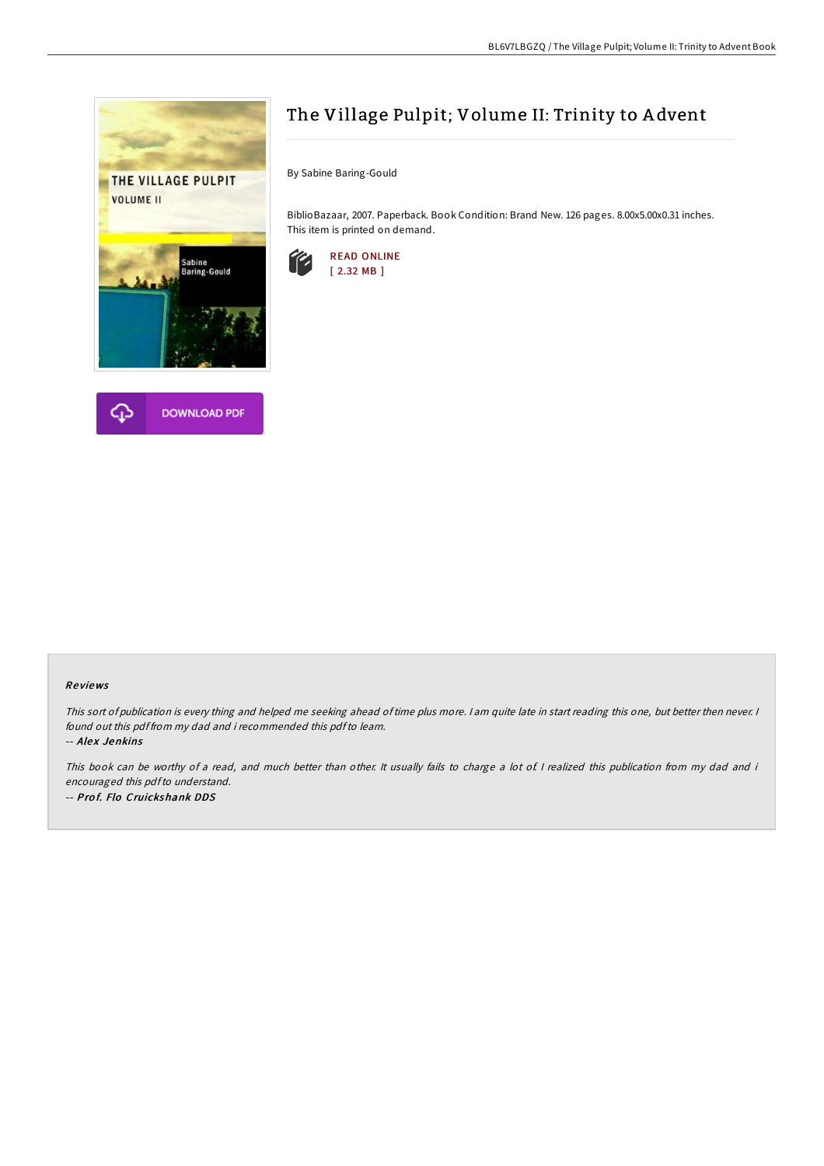



# The Village Pulpit; Volume II: Trinity to A dvent

By Sabine Baring-Gould

BiblioBazaar, 2007. Paperback. Book Condition: Brand New. 126 pages. 8.00x5.00x0.31 inches. This item is printed on demand.



### Re views

This sort of publication is every thing and helped me seeking ahead of time plus more. I am quite late in start reading this one, but better then never. I found out this pdf from my dad and i recommended this pdfto learn. -- Alex Jenkins

This book can be worthy of a read, and much better than other. It usually fails to charge a lot of I realized this publication from my dad and i encouraged this pdfto understand. -- Prof. Flo Cruickshank DDS